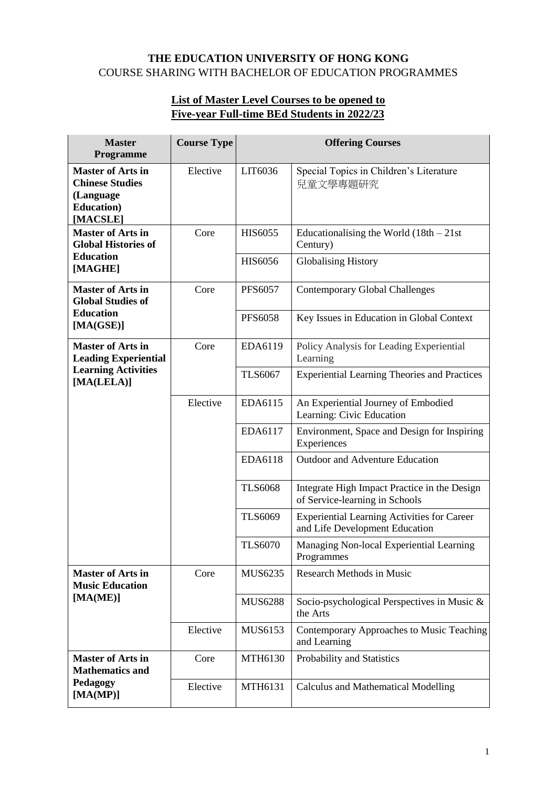## **THE EDUCATION UNIVERSITY OF HONG KONG**  COURSE SHARING WITH BACHELOR OF EDUCATION PROGRAMMES

## **List of Master Level Courses to be opened to Five-year Full-time BEd Students in 2022/23**

| <b>Master</b><br>Programme                                                                          | <b>Course Type</b> | <b>Offering Courses</b> |                                                                                      |
|-----------------------------------------------------------------------------------------------------|--------------------|-------------------------|--------------------------------------------------------------------------------------|
| <b>Master of Arts in</b><br><b>Chinese Studies</b><br>(Language<br><b>Education</b> )<br>[MACSLE]   | Elective           | LIT6036                 | Special Topics in Children's Literature<br>兒童文學專題研究                                  |
| <b>Master of Arts in</b><br><b>Global Histories of</b><br><b>Education</b><br>[MAGHE]               | Core               | <b>HIS6055</b>          | Educationalising the World $(18th - 21st$<br>Century)                                |
|                                                                                                     |                    | <b>HIS6056</b>          | <b>Globalising History</b>                                                           |
| <b>Master of Arts in</b><br><b>Global Studies of</b>                                                | Core               | <b>PFS6057</b>          | <b>Contemporary Global Challenges</b>                                                |
| <b>Education</b><br>[MA(GSE)]                                                                       |                    | <b>PFS6058</b>          | Key Issues in Education in Global Context                                            |
| <b>Master of Arts in</b><br><b>Leading Experiential</b><br><b>Learning Activities</b><br>[MA(LELA)] | Core               | EDA6119                 | Policy Analysis for Leading Experiential<br>Learning                                 |
|                                                                                                     |                    | <b>TLS6067</b>          | <b>Experiential Learning Theories and Practices</b>                                  |
|                                                                                                     | Elective           | EDA6115                 | An Experiential Journey of Embodied<br>Learning: Civic Education                     |
|                                                                                                     |                    | EDA6117                 | Environment, Space and Design for Inspiring<br>Experiences                           |
|                                                                                                     |                    | EDA6118                 | Outdoor and Adventure Education                                                      |
|                                                                                                     |                    | <b>TLS6068</b>          | Integrate High Impact Practice in the Design<br>of Service-learning in Schools       |
|                                                                                                     |                    | <b>TLS6069</b>          | <b>Experiential Learning Activities for Career</b><br>and Life Development Education |
|                                                                                                     |                    | <b>TLS6070</b>          | Managing Non-local Experiential Learning<br>Programmes                               |
| <b>Master of Arts in</b><br><b>Music Education</b><br>[MA(ME)]                                      | Core               | MUS6235                 | <b>Research Methods in Music</b>                                                     |
|                                                                                                     |                    | <b>MUS6288</b>          | Socio-psychological Perspectives in Music &<br>the Arts                              |
|                                                                                                     | Elective           | MUS6153                 | Contemporary Approaches to Music Teaching<br>and Learning                            |
| <b>Master of Arts in</b><br><b>Mathematics and</b>                                                  | Core               | MTH6130                 | Probability and Statistics                                                           |
| Pedagogy<br>[MA(MP)]                                                                                | Elective           | <b>MTH6131</b>          | <b>Calculus and Mathematical Modelling</b>                                           |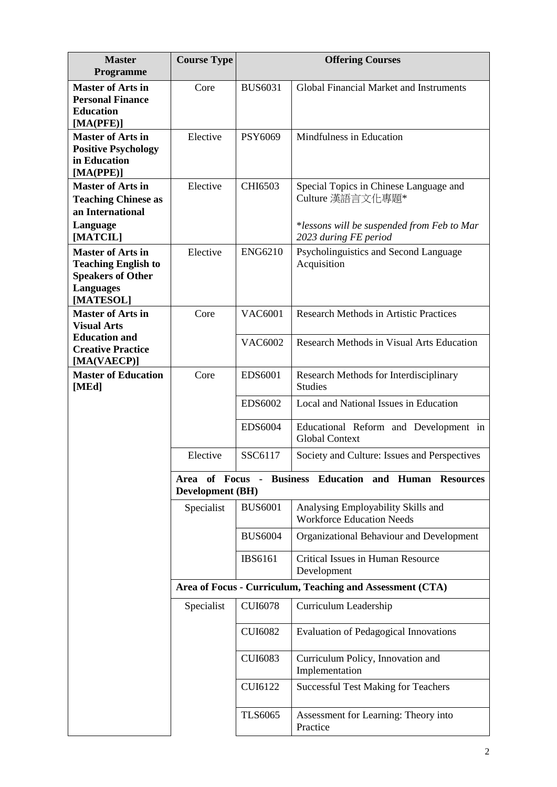| <b>Master</b><br>Programme                                                                                          | <b>Course Type</b> | <b>Offering Courses</b>                                                           |                                                                                                                                   |  |  |
|---------------------------------------------------------------------------------------------------------------------|--------------------|-----------------------------------------------------------------------------------|-----------------------------------------------------------------------------------------------------------------------------------|--|--|
| <b>Master of Arts in</b><br><b>Personal Finance</b><br><b>Education</b><br>[MA(PFE)]                                | Core               | <b>BUS6031</b>                                                                    | Global Financial Market and Instruments                                                                                           |  |  |
| <b>Master of Arts in</b><br><b>Positive Psychology</b><br>in Education<br>[MA(PPE)]                                 | Elective           | PSY6069                                                                           | Mindfulness in Education                                                                                                          |  |  |
| <b>Master of Arts in</b><br><b>Teaching Chinese as</b><br>an International<br>Language<br>[MATCIL]                  | Elective           | CHI6503                                                                           | Special Topics in Chinese Language and<br>Culture 漢語言文化專題*<br>*lessons will be suspended from Feb to Mar<br>2023 during FE period |  |  |
| <b>Master of Arts in</b><br><b>Teaching English to</b><br><b>Speakers of Other</b><br><b>Languages</b><br>[MATESOL] | Elective           | <b>ENG6210</b>                                                                    | Psycholinguistics and Second Language<br>Acquisition                                                                              |  |  |
| <b>Master of Arts in</b><br><b>Visual Arts</b>                                                                      | Core               | <b>VAC6001</b>                                                                    | <b>Research Methods in Artistic Practices</b>                                                                                     |  |  |
| <b>Education and</b><br><b>Creative Practice</b><br>[MA(VAECP)]                                                     |                    | <b>VAC6002</b>                                                                    | Research Methods in Visual Arts Education                                                                                         |  |  |
| <b>Master of Education</b><br>[MEd]                                                                                 | Core               | <b>EDS6001</b>                                                                    | Research Methods for Interdisciplinary<br><b>Studies</b>                                                                          |  |  |
|                                                                                                                     |                    | <b>EDS6002</b>                                                                    | Local and National Issues in Education                                                                                            |  |  |
|                                                                                                                     |                    | <b>EDS6004</b>                                                                    | Educational Reform and Development in<br><b>Global Context</b>                                                                    |  |  |
|                                                                                                                     | Elective           | SSC6117                                                                           | Society and Culture: Issues and Perspectives                                                                                      |  |  |
|                                                                                                                     |                    | Area of Focus - Business Education and Human Resources<br><b>Development</b> (BH) |                                                                                                                                   |  |  |
|                                                                                                                     | Specialist         | <b>BUS6001</b>                                                                    | Analysing Employability Skills and<br><b>Workforce Education Needs</b>                                                            |  |  |
|                                                                                                                     |                    | <b>BUS6004</b>                                                                    | Organizational Behaviour and Development                                                                                          |  |  |
|                                                                                                                     |                    | <b>IBS6161</b>                                                                    | Critical Issues in Human Resource<br>Development                                                                                  |  |  |
|                                                                                                                     |                    | Area of Focus - Curriculum, Teaching and Assessment (CTA)                         |                                                                                                                                   |  |  |
|                                                                                                                     | Specialist         | <b>CUI6078</b>                                                                    | Curriculum Leadership                                                                                                             |  |  |
|                                                                                                                     |                    | <b>CUI6082</b>                                                                    | <b>Evaluation of Pedagogical Innovations</b>                                                                                      |  |  |
|                                                                                                                     |                    | <b>CUI6083</b>                                                                    | Curriculum Policy, Innovation and<br>Implementation                                                                               |  |  |
|                                                                                                                     |                    | <b>CUI6122</b>                                                                    | <b>Successful Test Making for Teachers</b>                                                                                        |  |  |
|                                                                                                                     |                    | <b>TLS6065</b>                                                                    | Assessment for Learning: Theory into<br>Practice                                                                                  |  |  |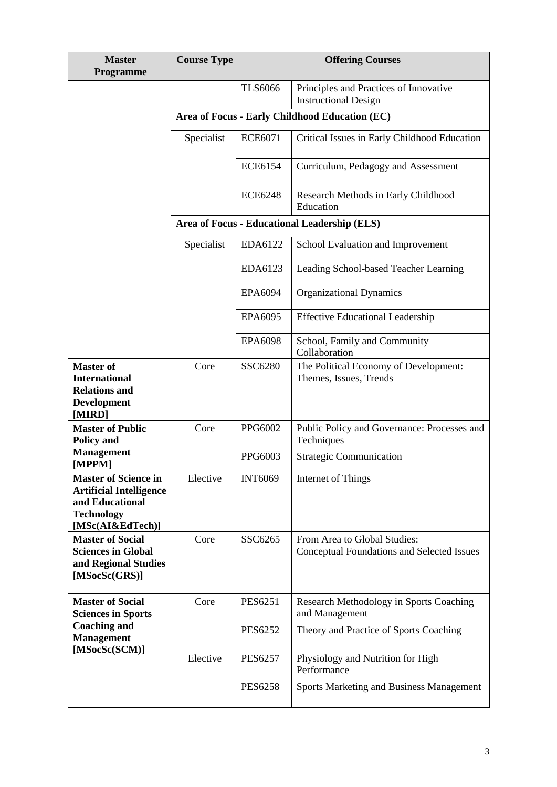| <b>Master</b><br>Programme                                                                                                | <b>Course Type</b>                           | <b>Offering Courses</b>                        |                                                                            |  |  |
|---------------------------------------------------------------------------------------------------------------------------|----------------------------------------------|------------------------------------------------|----------------------------------------------------------------------------|--|--|
|                                                                                                                           |                                              | <b>TLS6066</b>                                 | Principles and Practices of Innovative<br><b>Instructional Design</b>      |  |  |
|                                                                                                                           |                                              | Area of Focus - Early Childhood Education (EC) |                                                                            |  |  |
|                                                                                                                           | Specialist                                   | <b>ECE6071</b>                                 | Critical Issues in Early Childhood Education                               |  |  |
|                                                                                                                           |                                              | <b>ECE6154</b>                                 | Curriculum, Pedagogy and Assessment                                        |  |  |
|                                                                                                                           |                                              | <b>ECE6248</b>                                 | Research Methods in Early Childhood<br>Education                           |  |  |
|                                                                                                                           | Area of Focus - Educational Leadership (ELS) |                                                |                                                                            |  |  |
|                                                                                                                           | Specialist                                   | EDA6122                                        | School Evaluation and Improvement                                          |  |  |
|                                                                                                                           |                                              | EDA6123                                        | Leading School-based Teacher Learning                                      |  |  |
|                                                                                                                           |                                              | EPA6094                                        | <b>Organizational Dynamics</b>                                             |  |  |
|                                                                                                                           |                                              | EPA6095                                        | <b>Effective Educational Leadership</b>                                    |  |  |
|                                                                                                                           |                                              | <b>EPA6098</b>                                 | School, Family and Community<br>Collaboration                              |  |  |
| <b>Master of</b><br><b>International</b><br><b>Relations and</b><br><b>Development</b><br>[MIRD]                          | Core                                         | SSC6280                                        | The Political Economy of Development:<br>Themes, Issues, Trends            |  |  |
| <b>Master of Public</b><br><b>Policy and</b>                                                                              | Core                                         | PPG6002                                        | Public Policy and Governance: Processes and<br>Techniques                  |  |  |
| <b>Management</b><br>[MPPM]                                                                                               |                                              | PPG6003                                        | <b>Strategic Communication</b>                                             |  |  |
| <b>Master of Science in</b><br><b>Artificial Intelligence</b><br>and Educational<br><b>Technology</b><br>[MSc(AI&EdTech)] | Elective                                     | <b>INT6069</b>                                 | Internet of Things                                                         |  |  |
| <b>Master of Social</b><br><b>Sciences in Global</b><br>and Regional Studies<br>[MSocSc(GRS)]                             | Core                                         | SSC6265                                        | From Area to Global Studies:<br>Conceptual Foundations and Selected Issues |  |  |
| <b>Master of Social</b><br><b>Sciences in Sports</b>                                                                      | Core                                         | <b>PES6251</b>                                 | Research Methodology in Sports Coaching<br>and Management                  |  |  |
| <b>Coaching and</b><br><b>Management</b>                                                                                  |                                              | <b>PES6252</b>                                 | Theory and Practice of Sports Coaching                                     |  |  |
| [MSocSc(SCM)]                                                                                                             | Elective                                     | <b>PES6257</b>                                 | Physiology and Nutrition for High<br>Performance                           |  |  |
|                                                                                                                           |                                              | <b>PES6258</b>                                 | <b>Sports Marketing and Business Management</b>                            |  |  |